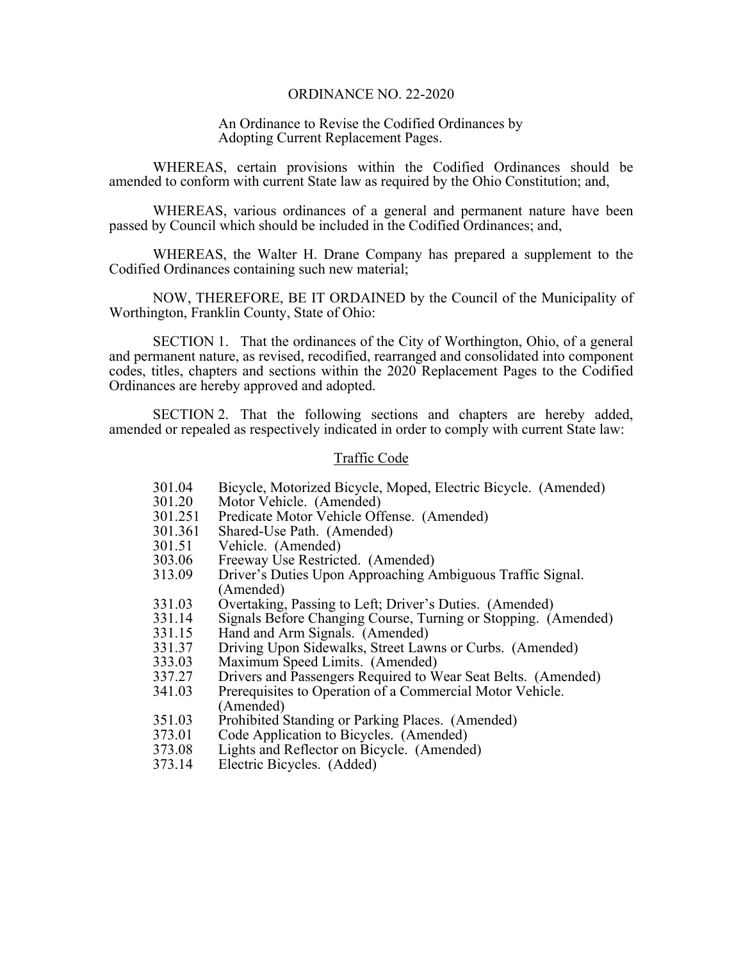#### ORDINANCE NO. 22-2020

## An Ordinance to Revise the Codified Ordinances by Adopting Current Replacement Pages.

 WHEREAS, certain provisions within the Codified Ordinances should be amended to conform with current State law as required by the Ohio Constitution; and,

 WHEREAS, various ordinances of a general and permanent nature have been passed by Council which should be included in the Codified Ordinances; and,

 WHEREAS, the Walter H. Drane Company has prepared a supplement to the Codified Ordinances containing such new material;

 NOW, THEREFORE, BE IT ORDAINED by the Council of the Municipality of Worthington, Franklin County, State of Ohio:

 SECTION 1. That the ordinances of the City of Worthington, Ohio, of a general and permanent nature, as revised, recodified, rearranged and consolidated into component codes, titles, chapters and sections within the 2020 Replacement Pages to the Codified Ordinances are hereby approved and adopted.

 SECTION 2. That the following sections and chapters are hereby added, amended or repealed as respectively indicated in order to comply with current State law:

#### Traffic Code

- 301.04 Bicycle, Motorized Bicycle, Moped, Electric Bicycle. (Amended)
- Motor Vehicle. (Amended)
- 301.251 Predicate Motor Vehicle Offense. (Amended)
- 301.361 Shared-Use Path. (Amended)
- 301.51 Vehicle. (Amended)
- 303.06 Freeway Use Restricted. (Amended)<br>313.09 Driver's Duties Upon Approaching A
- Driver's Duties Upon Approaching Ambiguous Traffic Signal. (Amended)
- 331.03 Overtaking, Passing to Left; Driver's Duties. (Amended)
- 331.14 Signals Before Changing Course, Turning or Stopping. (Amended)
- 331.15 Hand and Arm Signals. (Amended)
- 331.37 Driving Upon Sidewalks, Street Lawns or Curbs. (Amended)
- 333.03 Maximum Speed Limits. (Amended)
- 337.27 Drivers and Passengers Required to Wear Seat Belts. (Amended)<br>341.03 Prerequisites to Operation of a Commercial Motor Vehicle.
- Prerequisites to Operation of a Commercial Motor Vehicle. (Amended)
- 351.03 Prohibited Standing or Parking Places. (Amended)
- 373.01 Code Application to Bicycles. (Amended)
- 373.08 Lights and Reflector on Bicycle. (Amended)
- 373.14 Electric Bicycles. (Added)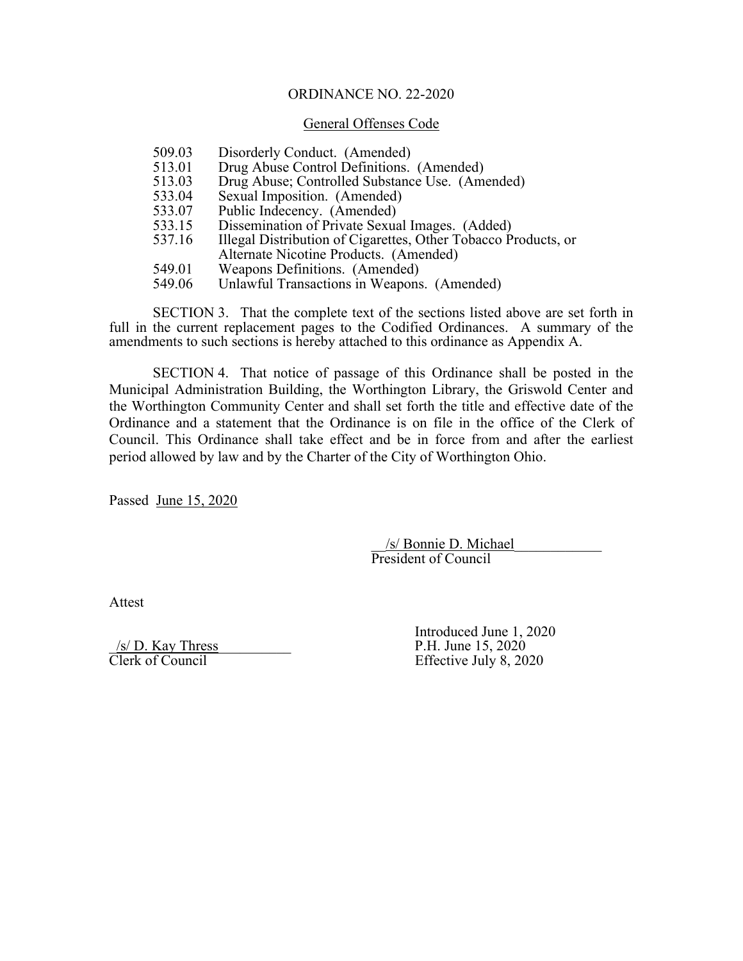# ORDINANCE NO. 22-2020

### General Offenses Code

| 509.03 | Disorderly Conduct. (Amended)                                  |
|--------|----------------------------------------------------------------|
| 513.01 | Drug Abuse Control Definitions. (Amended)                      |
| 513.03 | Drug Abuse; Controlled Substance Use. (Amended)                |
| 533.04 | Sexual Imposition. (Amended)                                   |
| 533.07 | Public Indecency. (Amended)                                    |
| 533.15 | Dissemination of Private Sexual Images. (Added)                |
| 537.16 | Illegal Distribution of Cigarettes, Other Tobacco Products, or |
|        | Alternate Nicotine Products. (Amended)                         |
| 549.01 | Weapons Definitions. (Amended)                                 |
| 549.06 | Unlawful Transactions in Weapons. (Amended)                    |

 SECTION 3. That the complete text of the sections listed above are set forth in full in the current replacement pages to the Codified Ordinances. A summary of the amendments to such sections is hereby attached to this ordinance as Appendix A.

 SECTION 4. That notice of passage of this Ordinance shall be posted in the Municipal Administration Building, the Worthington Library, the Griswold Center and the Worthington Community Center and shall set forth the title and effective date of the Ordinance and a statement that the Ordinance is on file in the office of the Clerk of Council. This Ordinance shall take effect and be in force from and after the earliest period allowed by law and by the Charter of the City of Worthington Ohio.

Passed June 15, 2020

 \_\_/s/ Bonnie D. Michael\_\_\_\_\_\_\_\_\_\_\_\_ President of Council

Attest

 $\frac{\sqrt{s}}{\text{Clerk of Council}}$ 

Introduced June 1, 2020<br>P.H. June 15, 2020 Effective July 8, 2020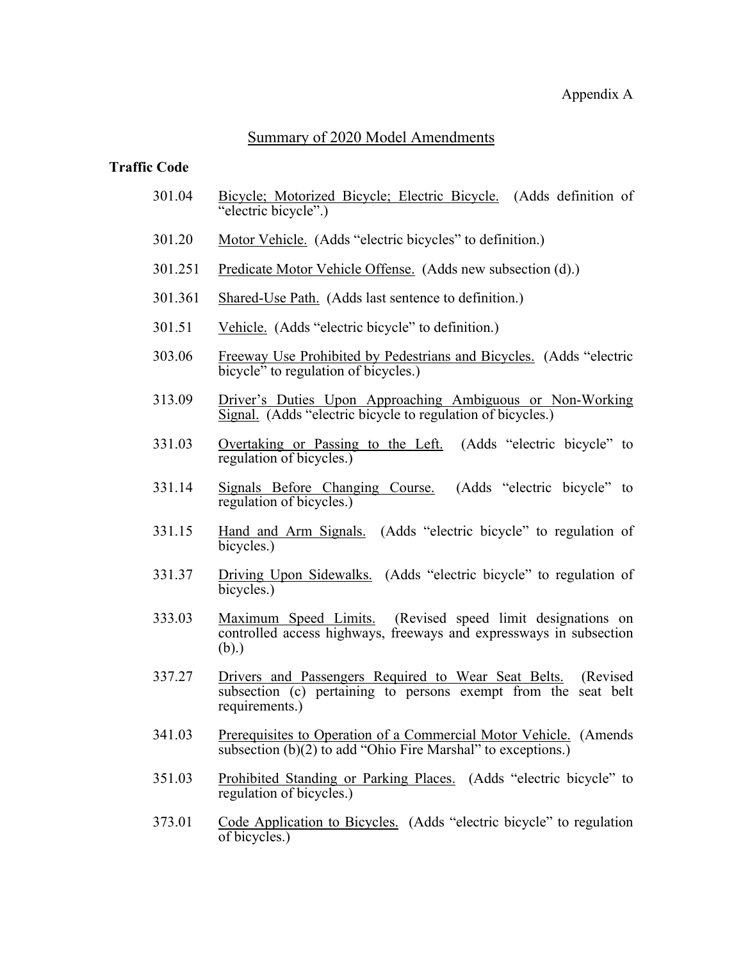# Summary of 2020 Model Amendments

## **Traffic Code**

- 301.04 Bicycle; Motorized Bicycle; Electric Bicycle. (Adds definition of "electric bicycle".)
- 301.20 Motor Vehicle. (Adds "electric bicycles" to definition.)
- 301.251 Predicate Motor Vehicle Offense. (Adds new subsection (d).)
- 301.361 Shared-Use Path. (Adds last sentence to definition.)
- 301.51 Vehicle. (Adds "electric bicycle" to definition.)
- 303.06 Freeway Use Prohibited by Pedestrians and Bicycles. (Adds "electric bicycle<sup>"</sup> to regulation of bicycles.)
- 313.09 Driver's Duties Upon Approaching Ambiguous or Non-Working Signal. (Adds "electric bicycle to regulation of bicycles.)
- 331.03 Overtaking or Passing to the Left. (Adds "electric bicycle" to regulation of bicycles.)
- 331.14 Signals Before Changing Course. (Adds "electric bicycle" to regulation of bicycles.)
- 331.15 Hand and Arm Signals. (Adds "electric bicycle" to regulation of bicycles.)
- 331.37 Driving Upon Sidewalks. (Adds "electric bicycle" to regulation of bicycles.)
- 333.03 Maximum Speed Limits. (Revised speed limit designations on maximum speed Ennis. (revised speed mint designations on controlled access highways, freeways and expressways in subsection (b).)
- 337.27 Drivers and Passengers Required to Wear Seat Belts. (Revised subsection (c) pertaining to persons exempt from the seat belt requirements.)
- 341.03 Prerequisites to Operation of a Commercial Motor Vehicle. (Amends subsection  $(b)(2)$  to add "Ohio Fire Marshal" to exceptions.)
- 351.03 Prohibited Standing or Parking Places. (Adds "electric bicycle" to regulation of bicycles.)
- 373.01 Code Application to Bicycles. (Adds "electric bicycle" to regulation of bicycles.)